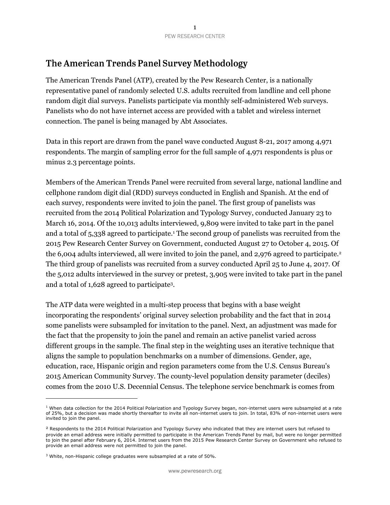## The American Trends Panel Survey Methodology

The American Trends Panel (ATP), created by the Pew Research Center, is a nationally representative panel of randomly selected U.S. adults recruited from landline and cell phone random digit dial surveys. Panelists participate via monthly self-administered Web surveys. Panelists who do not have internet access are provided with a tablet and wireless internet connection. The panel is being managed by Abt Associates.

Data in this report are drawn from the panel wave conducted August 8-21, 2017 among 4,971 respondents. The margin of sampling error for the full sample of 4,971 respondents is plus or minus 2.3 percentage points.

Members of the American Trends Panel were recruited from several large, national landline and cellphone random digit dial (RDD) surveys conducted in English and Spanish. At the end of each survey, respondents were invited to join the panel. The first group of panelists was recruited from the 2014 Political Polarization and Typology Survey, conducted January 23 to March 16, 2014. Of the 10,013 adults interviewed, 9,809 were invited to take part in the panel and a total of 5,338 agreed to participate.<sup>1</sup> The second group of panelists was recruited from the 2015 Pew Research Center Survey on Government, conducted August 27 to October 4, 2015. Of the 6,004 adults interviewed, all were invited to join the panel, and 2,976 agreed to participate.<sup>2</sup> The third group of panelists was recruited from a survey conducted April 25 to June 4, 2017. Of the 5,012 adults interviewed in the survey or pretest, 3,905 were invited to take part in the panel and a total of 1,628 agreed to participate<sup>3</sup> .

The ATP data were weighted in a multi-step process that begins with a base weight incorporating the respondents' original survey selection probability and the fact that in 2014 some panelists were subsampled for invitation to the panel. Next, an adjustment was made for the fact that the propensity to join the panel and remain an active panelist varied across different groups in the sample. The final step in the weighting uses an iterative technique that aligns the sample to population benchmarks on a number of dimensions. Gender, age, education, race, Hispanic origin and region parameters come from the U.S. Census Bureau's 2015 American Community Survey. The county-level population density parameter (deciles) comes from the 2010 U.S. Decennial Census. The telephone service benchmark is comes from

 $\overline{a}$ 

 $1$  When data collection for the 2014 Political Polarization and Typology Survey began, non-internet users were subsampled at a rate of 25%, but a decision was made shortly thereafter to invite all non-internet users to join. In total, 83% of non-internet users were invited to join the panel.

<sup>2</sup> Respondents to the 2014 Political Polarization and Typology Survey who indicated that they are internet users but refused to provide an email address were initially permitted to participate in the American Trends Panel by mail, but were no longer permitted to join the panel after February 6, 2014. Internet users from the 2015 Pew Research Center Survey on Government who refused to provide an email address were not permitted to join the panel.

<sup>&</sup>lt;sup>3</sup> White, non-Hispanic college graduates were subsampled at a rate of 50%.